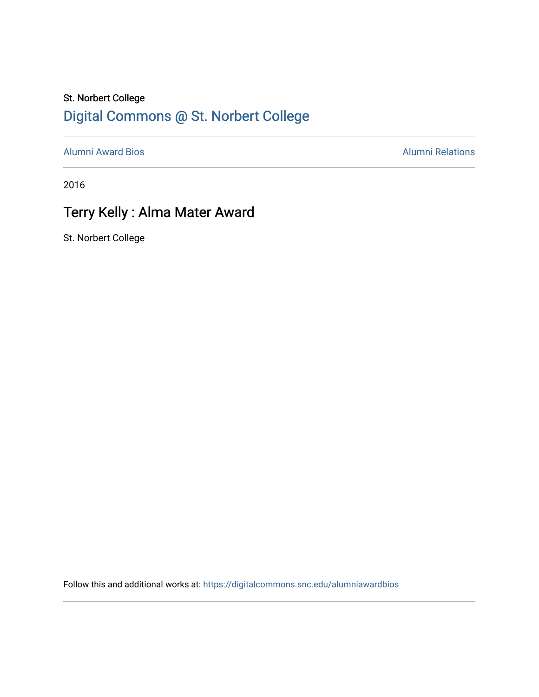### St. Norbert College [Digital Commons @ St. Norbert College](https://digitalcommons.snc.edu/)

[Alumni Award Bios](https://digitalcommons.snc.edu/alumniawardbios) **Alumni Relations** Alumni Relations

2016

## Terry Kelly : Alma Mater Award

St. Norbert College

Follow this and additional works at: [https://digitalcommons.snc.edu/alumniawardbios](https://digitalcommons.snc.edu/alumniawardbios?utm_source=digitalcommons.snc.edu%2Falumniawardbios%2F79&utm_medium=PDF&utm_campaign=PDFCoverPages)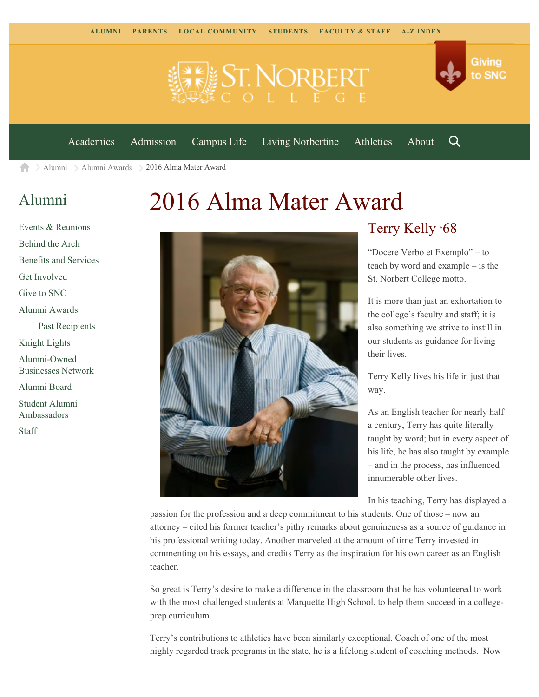



Q

[Academics](https://www.snc.edu/academics) [Admission](https://www.snc.edu/admission) [Campus Life](https://www.snc.edu/campuslife) [Living Norbertine](https://www.snc.edu/livingnorbertine) [Athletics](https://www.snc.edu/athletics) [About](https://www.snc.edu/about)

[Alumni](https://www.snc.edu/alumni/) [Alumni Awards](https://www.snc.edu/alumni/awards/) 2016 Alma Mater Award A

### [Alumni](https://www.snc.edu/alumni/index.html)

[Events & Reunions](https://www.snc.edu/alumni/event/index.html) [Behind the Arch](https://www.snc.edu/alumni/event/behindthearch/) [Benefits and Services](https://www.snc.edu/alumni/benefits.html) [Get Involved](https://www.snc.edu/alumni/getinvolved.html) [Give to SNC](http://giving.snc.edu/) [Alumni Awards](https://www.snc.edu/alumni/awards/index.html) [Past Recipients](https://www.snc.edu/alumni/awards/recipients.html) [Knight Lights](https://www.snc.edu/alumni/knightlights/index.html) [Alumni-Owned](https://www.snc.edu/alumni/directory/index.html) [Businesses Network](https://www.snc.edu/alumni/directory/index.html) [Alumni Board](https://www.snc.edu/alumni/alumniboard.html) [Student Alumni](https://www.snc.edu/alumni/saa.html) [Ambassadors](https://www.snc.edu/alumni/saa.html) [Staff](https://www.snc.edu/alumni/contactus.html)

# 2016 Alma Mater Award



#### Terry Kelly '68

"Docere Verbo et Exemplo" – to teach by word and example – is the St. Norbert College motto.

It is more than just an exhortation to the college's faculty and staff; it is also something we strive to instill in our students as guidance for living their lives.

Terry Kelly lives his life in just that way.

As an English teacher for nearly half a century, Terry has quite literally taught by word; but in every aspect of his life, he has also taught by example – and in the process, has influenced innumerable other lives.

In his teaching, Terry has displayed a

passion for the profession and a deep commitment to his students. One of those – now an attorney – cited his former teacher's pithy remarks about genuineness as a source of guidance in his professional writing today. Another marveled at the amount of time Terry invested in commenting on his essays, and credits Terry as the inspiration for his own career as an English teacher.

So great is Terry's desire to make a difference in the classroom that he has volunteered to work with the most challenged students at Marquette High School, to help them succeed in a collegeprep curriculum.

Terry's contributions to athletics have been similarly exceptional. Coach of one of the most highly regarded track programs in the state, he is a lifelong student of coaching methods. Now